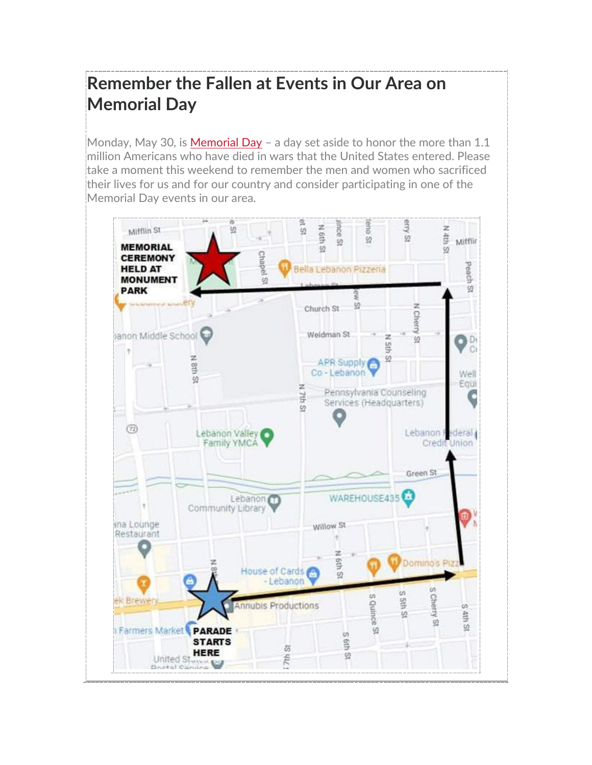# **Remember the Fallen at Events in Our Area on Memorial Day**

Monday, May 30, is [Memorial Day](https://www.va.gov/opa/speceven/memday/)  $-$  a day set aside to honor the more than 1.1 million Americans who have died in wars that the United States entered. Please take a moment this weekend to remember the men and women who sacrificed their lives for us and for our country and consider participating in one of the Memorial Day events in our area.

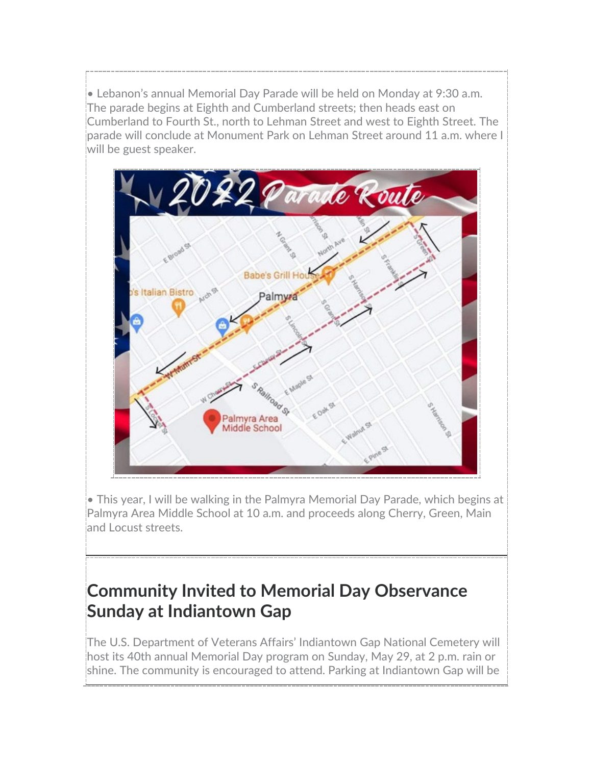• Lebanon's annual Memorial Day Parade will be held on Monday at 9:30 a.m. The parade begins at Eighth and Cumberland streets; then heads east on Cumberland to Fourth St., north to Lehman Street and west to Eighth Street. The parade will conclude at Monument Park on Lehman Street around 11 a.m. where I will be guest speaker.



• This year, I will be walking in the Palmyra Memorial Day Parade, which begins at Palmyra Area Middle School at 10 a.m. and proceeds along Cherry, Green, Main and Locust streets.

# **Community Invited to Memorial Day Observance Sunday at Indiantown Gap**

The U.S. Department of Veterans Affairs' Indiantown Gap National Cemetery will host its 40th annual Memorial Day program on Sunday, May 29, at 2 p.m. rain or shine. The community is encouraged to attend. Parking at Indiantown Gap will be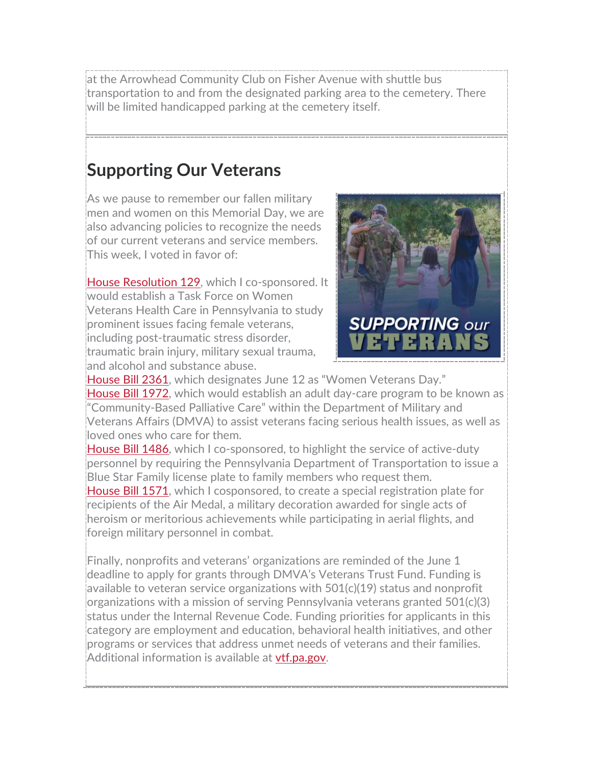at the Arrowhead Community Club on Fisher Avenue with shuttle bus transportation to and from the designated parking area to the cemetery. There will be limited handicapped parking at the cemetery itself.

#### **Supporting Our Veterans**

As we pause to remember our fallen military men and women on this Memorial Day, we are also advancing policies to recognize the needs of our current veterans and service members. This week, I voted in favor of:

[House Resolution 129,](https://www.legis.state.pa.us/cfdocs/billInfo/billInfo.cfm?sYear=2021&sInd=0&body=H&type=R&bn=0129) which I co-sponsored. It would establish a Task Force on Women Veterans Health Care in Pennsylvania to study prominent issues facing female veterans, including post-traumatic stress disorder, traumatic brain injury, military sexual trauma, and alcohol and substance abuse.



[House Bill 2361,](https://www.legis.state.pa.us/cfdocs/billInfo/billInfo.cfm?sYear=2021&sInd=0&body=H&type=B&bn=2361) which designates June 12 as "Women Veterans Day." [House Bill 1972,](https://www.legis.state.pa.us/cfdocs/billInfo/billInfo.cfm?sYear=2021&sInd=0&body=H&type=B&bn=1972) which would establish an adult day-care program to be known as "Community-Based Palliative Care" within the Department of Military and Veterans Affairs (DMVA) to assist veterans facing serious health issues, as well as loved ones who care for them.

[House Bill 1486,](https://www.legis.state.pa.us/cfdocs/billInfo/billInfo.cfm?sYear=2021&sInd=0&body=H&type=B&bn=1486) which I co-sponsored, to highlight the service of active-duty personnel by requiring the Pennsylvania Department of Transportation to issue a Blue Star Family license plate to family members who request them. [House Bill 1571,](https://www.legis.state.pa.us/cfdocs/billInfo/billInfo.cfm?sYear=2021&sInd=0&body=H&type=B&bn=1571) which I cosponsored, to create a special registration plate for recipients of the Air Medal, a military decoration awarded for single acts of heroism or meritorious achievements while participating in aerial flights, and foreign military personnel in combat.

Finally, nonprofits and veterans' organizations are reminded of the June 1 deadline to apply for grants through DMVA's Veterans Trust Fund. Funding is available to veteran service organizations with  $501(c)(19)$  status and nonprofit organizations with a mission of serving Pennsylvania veterans granted 501(c)(3) status under the Internal Revenue Code. Funding priorities for applicants in this category are employment and education, behavioral health initiatives, and other programs or services that address unmet needs of veterans and their families. Additional information is available at **[vtf.pa.gov.](https://www.dmva.pa.gov/veteransaffairs/Pages/Programs%20and%20Services/Veterans)**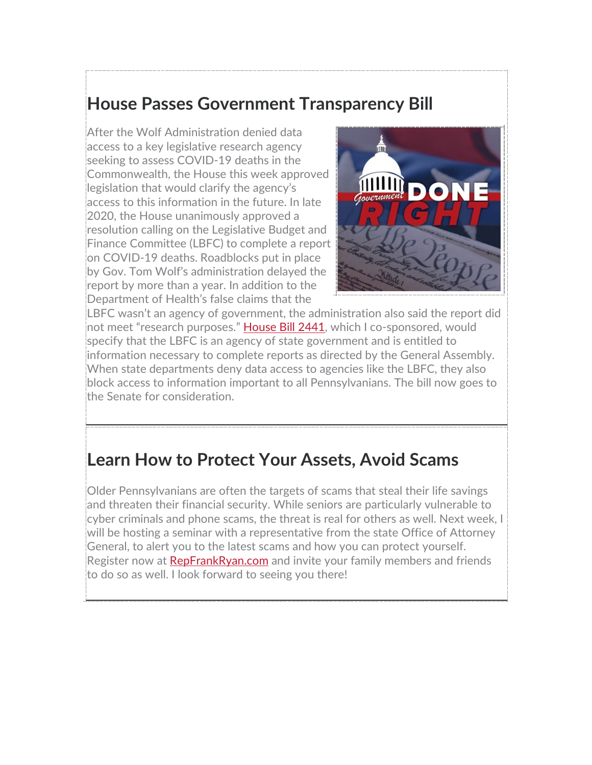# **House Passes Government Transparency Bill**

After the Wolf Administration denied data access to a key legislative research agency seeking to assess COVID-19 deaths in the Commonwealth, the House this week approved legislation that would clarify the agency's access to this information in the future. In late 2020, the House unanimously approved a resolution calling on the Legislative Budget and Finance Committee (LBFC) to complete a report on COVID-19 deaths. Roadblocks put in place by Gov. Tom Wolf's administration delayed the report by more than a year. In addition to the Department of Health's false claims that the



LBFC wasn't an agency of government, the administration also said the report did not meet "research purposes." [House Bill 2441,](https://www.legis.state.pa.us/cfdocs/billInfo/billInfo.cfm?sYear=2021&sInd=0&body=H&type=B&bn=2441) which I co-sponsored, would specify that the LBFC is an agency of state government and is entitled to information necessary to complete reports as directed by the General Assembly. When state departments deny data access to agencies like the LBFC, they also block access to information important to all Pennsylvanians. The bill now goes to the Senate for consideration.

#### **Learn How to Protect Your Assets, Avoid Scams**

Older Pennsylvanians are often the targets of scams that steal their life savings and threaten their financial security. While seniors are particularly vulnerable to cyber criminals and phone scams, the threat is real for others as well. Next week, I will be hosting a seminar with a representative from the state Office of Attorney General, to alert you to the latest scams and how you can protect yourself. Register now at [RepFrankRyan.com](https://www.repfrankryan.com/?fbclid=IwAR26ZHR-sKIv4wJMq3YjAKaw8Fol0W-q83eelTljFWm7ggAzru3G-ZHqtLk) and invite your family members and friends to do so as well. I look forward to seeing you there!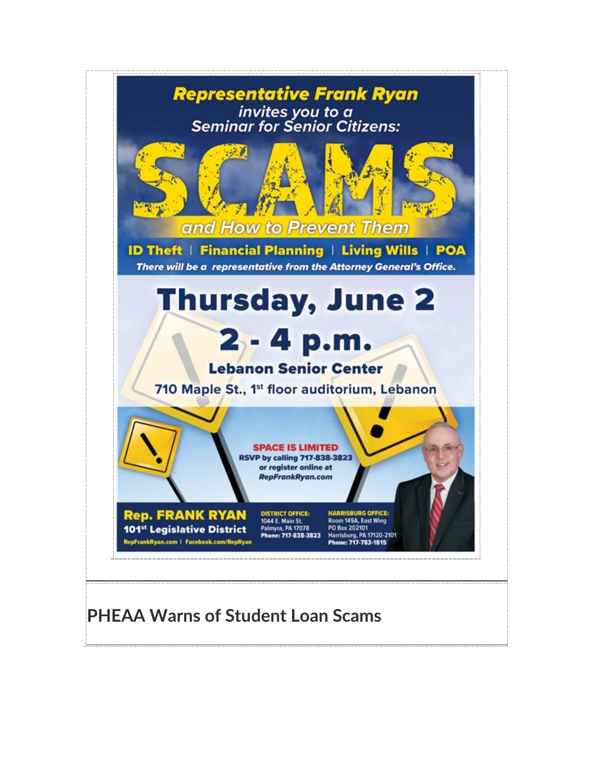

# **PHEAA Warns of Student Loan Scams**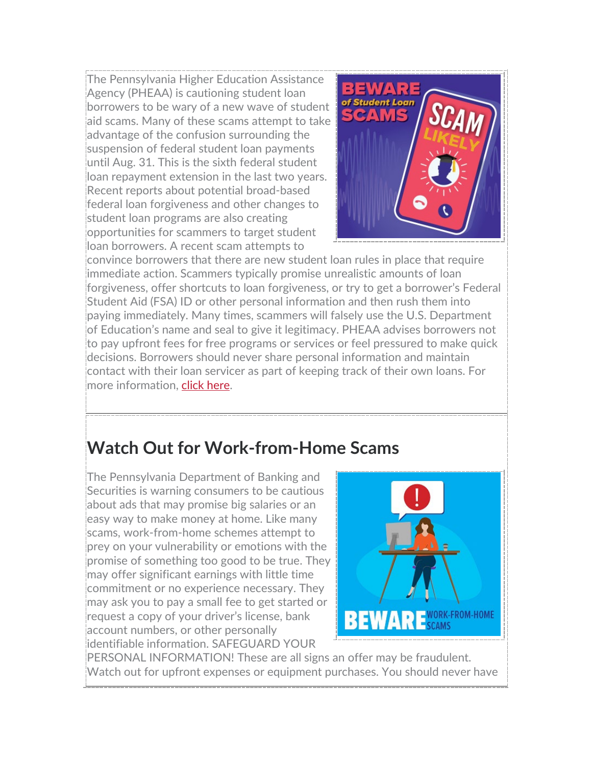The Pennsylvania Higher Education Assistance Agency (PHEAA) is cautioning student loan borrowers to be wary of a new wave of student aid scams. Many of these scams attempt to take advantage of the confusion surrounding the suspension of federal student loan payments until Aug. 31. This is the sixth federal student loan repayment extension in the last two years. Recent reports about potential broad-based federal loan forgiveness and other changes to student loan programs are also creating opportunities for scammers to target student loan borrowers. A recent scam attempts to



convince borrowers that there are new student loan rules in place that require immediate action. Scammers typically promise unrealistic amounts of loan forgiveness, offer shortcuts to loan forgiveness, or try to get a borrower's Federal Student Aid (FSA) ID or other personal information and then rush them into paying immediately. Many times, scammers will falsely use the U.S. Department of Education's name and seal to give it legitimacy. PHEAA advises borrowers not to pay upfront fees for free programs or services or feel pressured to make quick decisions. Borrowers should never share personal information and maintain contact with their loan servicer as part of keeping track of their own loans. For more information, [click here.](https://www.pheaa.org/documents/press-releases/ph/051922.pdf)

# **Watch Out for Work-from-Home Scams**

The Pennsylvania Department of Banking and Securities is warning consumers to be cautious about ads that may promise big salaries or an easy way to make money at home. Like many scams, work-from-home schemes attempt to prey on your vulnerability or emotions with the promise of something too good to be true. They may offer significant earnings with little time commitment or no experience necessary. They may ask you to pay a small fee to get started or request a copy of your driver's license, bank account numbers, or other personally identifiable information. SAFEGUARD YOUR



PERSONAL INFORMATION! These are all signs an offer may be fraudulent. Watch out for upfront expenses or equipment purchases. You should never have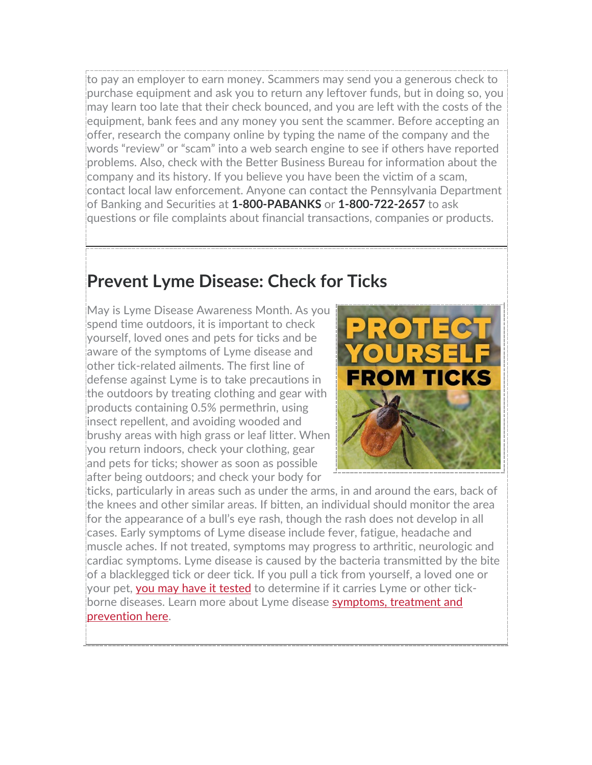to pay an employer to earn money. Scammers may send you a generous check to purchase equipment and ask you to return any leftover funds, but in doing so, you may learn too late that their check bounced, and you are left with the costs of the equipment, bank fees and any money you sent the scammer. Before accepting an offer, research the company online by typing the name of the company and the words "review" or "scam" into a web search engine to see if others have reported problems. Also, check with the Better Business Bureau for information about the company and its history. If you believe you have been the victim of a scam, contact local law enforcement. Anyone can contact the Pennsylvania Department of Banking and Securities at **1-800-PABANKS** or **1-800-722-2657** to ask questions or file complaints about financial transactions, companies or products.

#### **Prevent Lyme Disease: Check for Ticks**

May is Lyme Disease Awareness Month. As you spend time outdoors, it is important to check yourself, loved ones and pets for ticks and be aware of the symptoms of Lyme disease and other tick-related ailments. The first line of defense against Lyme is to take precautions in the outdoors by treating clothing and gear with products containing 0.5% permethrin, using insect repellent, and avoiding wooded and brushy areas with high grass or leaf litter. When you return indoors, check your clothing, gear and pets for ticks; shower as soon as possible after being outdoors; and check your body for



ticks, particularly in areas such as under the arms, in and around the ears, back of the knees and other similar areas. If bitten, an individual should monitor the area for the appearance of a bull's eye rash, though the rash does not develop in all cases. Early symptoms of Lyme disease include fever, fatigue, headache and muscle aches. If not treated, symptoms may progress to arthritic, neurologic and cardiac symptoms. Lyme disease is caused by the bacteria transmitted by the bite of a blacklegged tick or deer tick. If you pull a tick from yourself, a loved one or your pet, [you may have it tested](https://www.esu.edu/dna/tick-diagnostics/index.cfm) to determine if it carries Lyme or other tickborne diseases. Learn more about Lyme disease [symptoms, treatment and](https://www.health.pa.gov/topics/disease/Vectorborne%20Diseases/Pages/Lyme.aspx)  [prevention here.](https://www.health.pa.gov/topics/disease/Vectorborne%20Diseases/Pages/Lyme.aspx)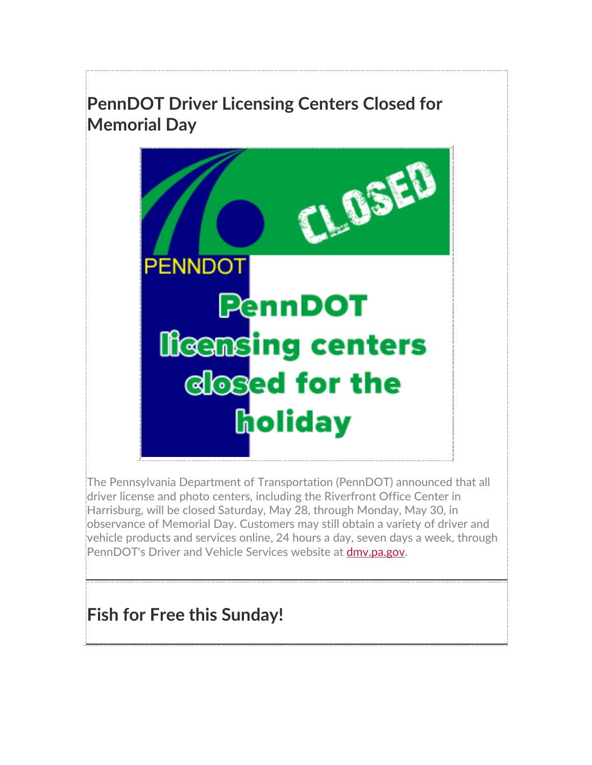# **PennDOT Driver Licensing Centers Closed for Memorial Day**



The Pennsylvania Department of Transportation (PennDOT) announced that all driver license and photo centers, including the Riverfront Office Center in Harrisburg, will be closed Saturday, May 28, through Monday, May 30, in observance of Memorial Day. Customers may still obtain a variety of driver and vehicle products and services online, 24 hours a day, seven days a week, through PennDOT's Driver and Vehicle Services website at [dmv.pa.gov.](https://www.dmv.pa.gov/Pages/default.aspx)

# **Fish for Free this Sunday!**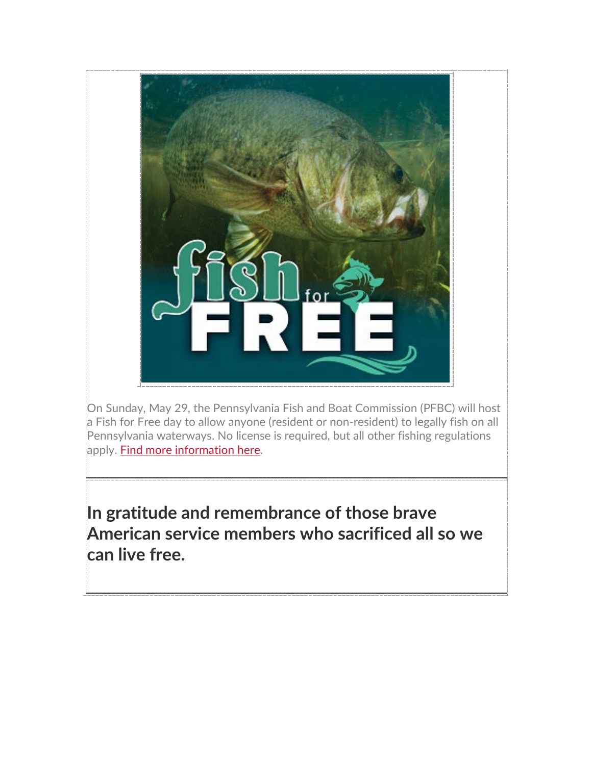

On Sunday, May 29, the Pennsylvania Fish and Boat Commission (PFBC) will host a Fish for Free day to allow anyone (resident or non-resident) to legally fish on all Pennsylvania waterways. No license is required, but all other fishing regulations apply. **Find more information here.** 

**In gratitude and remembrance of those brave American service members who sacrificed all so we can live free.**